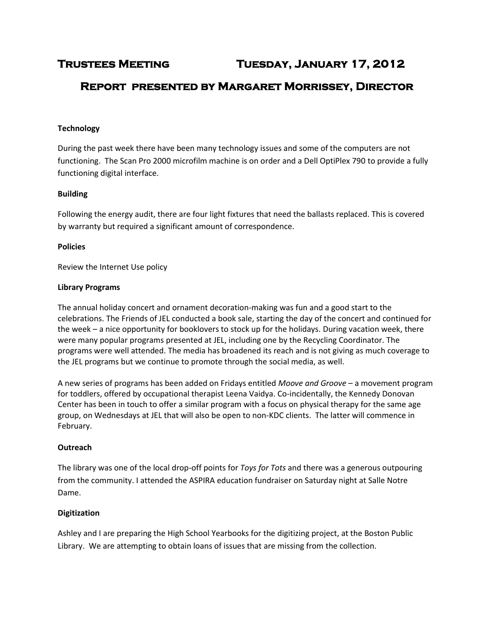# **Trustees Meeting Tuesday, January 17, 2012**

# **Report presented by Margaret Morrissey, Director**

### **Technology**

During the past week there have been many technology issues and some of the computers are not functioning. The Scan Pro 2000 microfilm machine is on order and a Dell OptiPlex 790 to provide a fully functioning digital interface.

#### **Building**

Following the energy audit, there are four light fixtures that need the ballasts replaced. This is covered by warranty but required a significant amount of correspondence.

#### **Policies**

Review the Internet Use policy

#### **Library Programs**

The annual holiday concert and ornament decoration-making was fun and a good start to the celebrations. The Friends of JEL conducted a book sale, starting the day of the concert and continued for the week – a nice opportunity for booklovers to stock up for the holidays. During vacation week, there were many popular programs presented at JEL, including one by the Recycling Coordinator. The programs were well attended. The media has broadened its reach and is not giving as much coverage to the JEL programs but we continue to promote through the social media, as well.

A new series of programs has been added on Fridays entitled *Moove and Groove* – a movement program for toddlers, offered by occupational therapist Leena Vaidya. Co-incidentally, the Kennedy Donovan Center has been in touch to offer a similar program with a focus on physical therapy for the same age group, on Wednesdays at JEL that will also be open to non-KDC clients. The latter will commence in February.

#### **Outreach**

The library was one of the local drop-off points for *Toys for Tots* and there was a generous outpouring from the community. I attended the ASPIRA education fundraiser on Saturday night at Salle Notre Dame.

#### **Digitization**

Ashley and I are preparing the High School Yearbooks for the digitizing project, at the Boston Public Library. We are attempting to obtain loans of issues that are missing from the collection.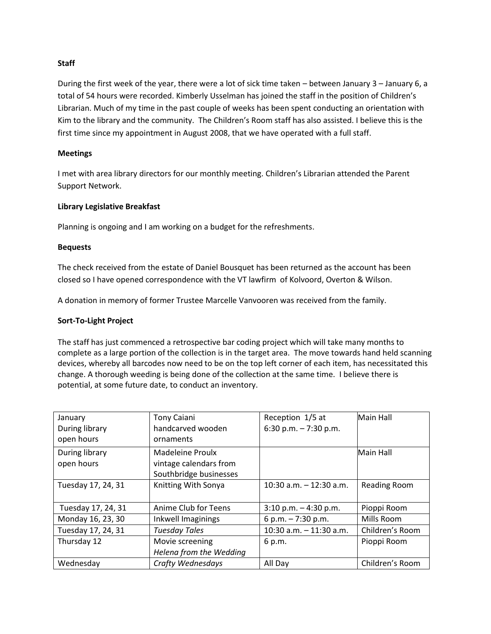### **Staff**

During the first week of the year, there were a lot of sick time taken – between January 3 – January 6, a total of 54 hours were recorded. Kimberly Usselman has joined the staff in the position of Children's Librarian. Much of my time in the past couple of weeks has been spent conducting an orientation with Kim to the library and the community. The Children's Room staff has also assisted. I believe this is the first time since my appointment in August 2008, that we have operated with a full staff.

#### **Meetings**

I met with area library directors for our monthly meeting. Children's Librarian attended the Parent Support Network.

### **Library Legislative Breakfast**

Planning is ongoing and I am working on a budget for the refreshments.

#### **Bequests**

The check received from the estate of Daniel Bousquet has been returned as the account has been closed so I have opened correspondence with the VT lawfirm of Kolvoord, Overton & Wilson.

A donation in memory of former Trustee Marcelle Vanvooren was received from the family.

#### **Sort-To-Light Project**

The staff has just commenced a retrospective bar coding project which will take many months to complete as a large portion of the collection is in the target area. The move towards hand held scanning devices, whereby all barcodes now need to be on the top left corner of each item, has necessitated this change. A thorough weeding is being done of the collection at the same time. I believe there is potential, at some future date, to conduct an inventory.

| January<br>During library<br>open hours | <b>Tony Caiani</b><br>handcarved wooden<br>ornaments                        | Reception 1/5 at<br>6:30 p.m. $-7:30$ p.m. | Main Hall        |
|-----------------------------------------|-----------------------------------------------------------------------------|--------------------------------------------|------------------|
| During library<br>open hours            | <b>Madeleine Proulx</b><br>vintage calendars from<br>Southbridge businesses |                                            | <b>Main Hall</b> |
| Tuesday 17, 24, 31                      | Knitting With Sonya                                                         | 10:30 $a.m. - 12:30 a.m.$                  | Reading Room     |
| Tuesday 17, 24, 31                      | Anime Club for Teens                                                        | $3:10$ p.m. $-4:30$ p.m.                   | Pioppi Room      |
| Monday 16, 23, 30                       | Inkwell Imaginings                                                          | 6 p.m. $-7:30$ p.m.                        | Mills Room       |
| Tuesday 17, 24, 31                      | <b>Tuesday Tales</b>                                                        | $10:30$ a.m. $-11:30$ a.m.                 | Children's Room  |
| Thursday 12                             | Movie screening<br>Helena from the Wedding                                  | 6 p.m.                                     | Pioppi Room      |
| Wednesday                               | Crafty Wednesdays                                                           | All Day                                    | Children's Room  |